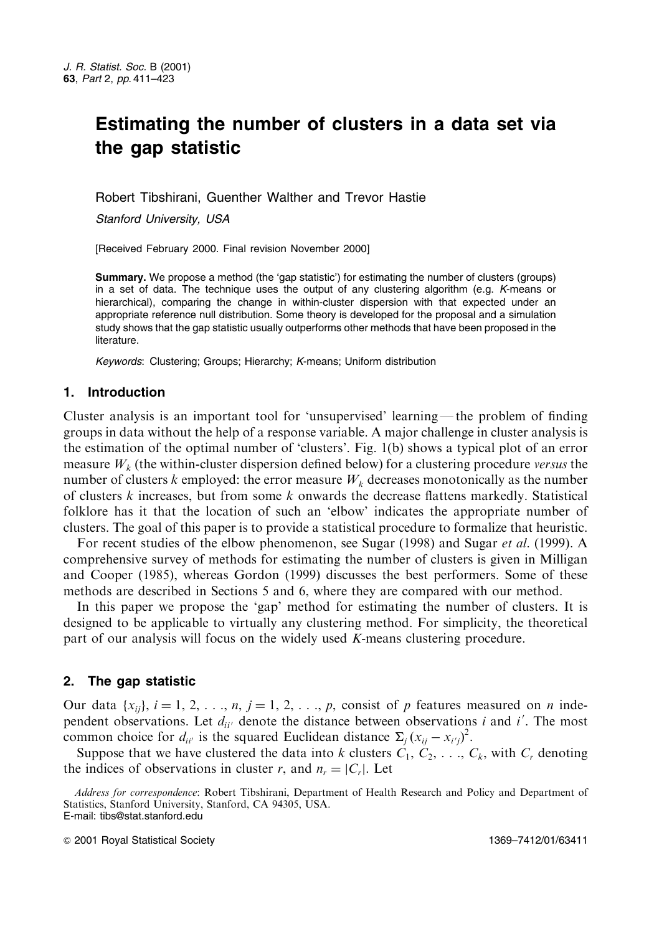# Estimating the number of clusters in a data set via the gap statistic

Robert Tibshirani, Guenther Walther and Trevor Hastie

Stanford University, USA

[Received February 2000. Final revision November 2000]

Summary. We propose a method (the 'gap statistic') for estimating the number of clusters (groups) in a set of data. The technique uses the output of any clustering algorithm (e.g. K-means or hierarchical), comparing the change in within-cluster dispersion with that expected under an appropriate reference null distribution. Some theory is developed for the proposal and a simulation study shows that the gap statistic usually outperforms other methods that have been proposed in the literature.

Keywords: Clustering; Groups; Hierarchy; K-means; Uniform distribution

# 1. Introduction

Cluster analysis is an important tool for 'unsupervised' learning—the problem of finding groups in data without the help of a response variable. A major challenge in cluster analysis is the estimation of the optimal number of 'clusters'. Fig. 1(b) shows a typical plot of an error measure  $W_k$  (the within-cluster dispersion defined below) for a clustering procedure versus the number of clusters k employed: the error measure  $W_k$  decreases monotonically as the number of clusters  $k$  increases, but from some  $k$  onwards the decrease flattens markedly. Statistical folklore has it that the location of such an 'elbow' indicates the appropriate number of clusters. The goal of this paper is to provide a statistical procedure to formalize that heuristic.

For recent studies of the elbow phenomenon, see Sugar (1998) and Sugar *et al.* (1999). A comprehensive survey of methods for estimating the number of clusters is given in Milligan and Cooper (1985), whereas Gordon (1999) discusses the best performers. Some of these methods are described in Sections 5 and 6, where they are compared with our method.

In this paper we propose the 'gap' method for estimating the number of clusters. It is designed to be applicable to virtually any clustering method. For simplicity, the theoretical part of our analysis will focus on the widely used  $K$ -means clustering procedure.

# 2. The gap statistic

Our data  $\{x_{ij}\}\$ ,  $i = 1, 2, \ldots, n$ ,  $j = 1, 2, \ldots, p$ , consist of p features measured on n independent observations. Let  $d_{ii'}$  denote the distance between observations i and i'. The most common choice for  $d_{ii'}$  is the squared Euclidean distance  $\Sigma_i (x_{ii} - x_{i'i})^2$ .

Suppose that we have clustered the data into k clusters  $C_1, C_2, \ldots, C_k$ , with  $C_r$  denoting the indices of observations in cluster r, and  $n_r = |C_r|$ . Let

© 2001 Royal Statistical Society

Address for correspondence: Robert Tibshirani, Department of Health Research and Policy and Department of Statistics, Stanford University, Stanford, CA 94305, USA. E-mail: tibs@stat.stanford.edu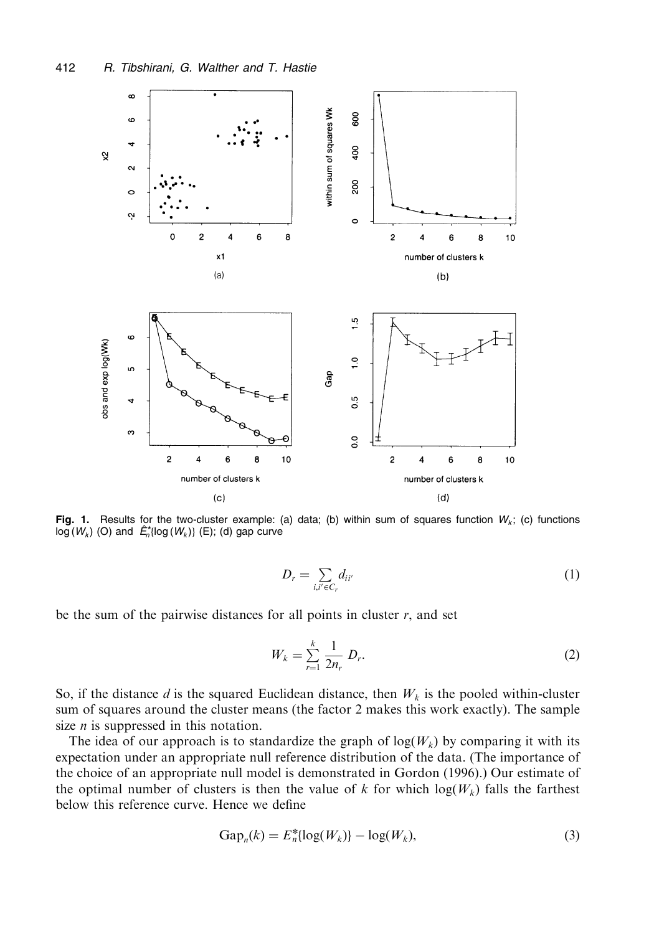

Fig. 1. Results for the two-cluster example: (a) data; (b) within sum of squares function  $W_k$ ; (c) functions  $log(W_k)$  (O) and  $\hat{E}_n^*$ {log ( $W_k$ )} (E); (d) gap curve

$$
D_r = \sum_{i,i' \in C_r} d_{ii'} \tag{1}
$$

be the sum of the pairwise distances for all points in cluster  $r$ , and set

$$
W_k = \sum_{r=1}^k \frac{1}{2n_r} D_r.
$$
 (2)

So, if the distance d is the squared Euclidean distance, then  $W_k$  is the pooled within-cluster sum of squares around the cluster means (the factor 2 makes this work exactly). The sample size  $n$  is suppressed in this notation.

The idea of our approach is to standardize the graph of  $log(W_k)$  by comparing it with its expectation under an appropriate null reference distribution of the data. (The importance of the choice of an appropriate null model is demonstrated in Gordon (1996).) Our estimate of the optimal number of clusters is then the value of k for which  $log(W_k)$  falls the farthest below this reference curve. Hence we define

$$
Gap_n(k) = E_n^* \{ \log(W_k) \} - \log(W_k),\tag{3}
$$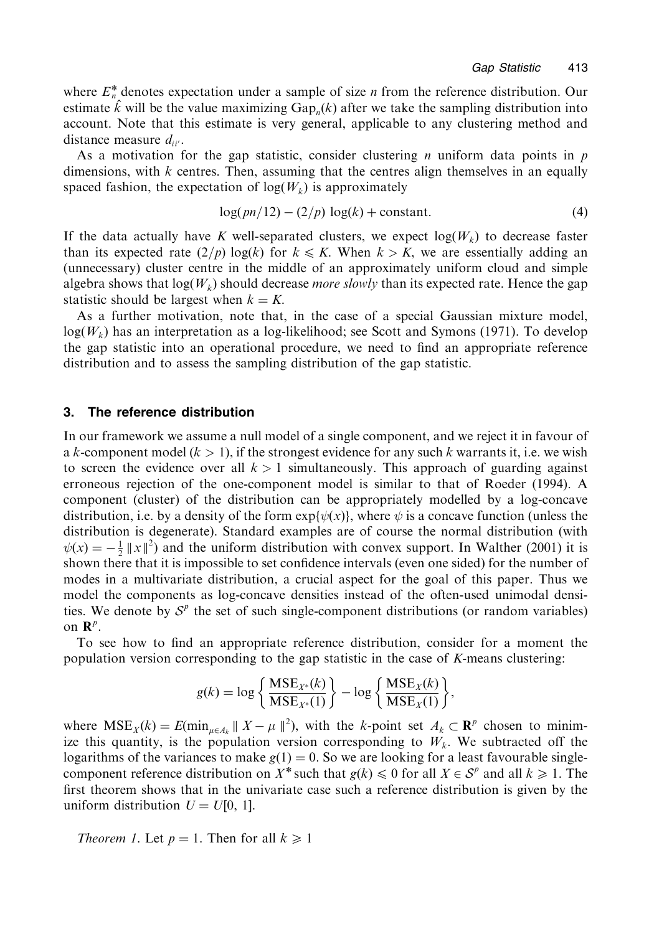where  $E_n^*$  denotes expectation under a sample of size *n* from the reference distribution. Our estimate  $\hat{k}$  will be the value maximizing Gap<sub>n</sub> $(k)$  after we take the sampling distribution into account. Note that this estimate is very general, applicable to any clustering method and distance measure  $d_{ii'}$ .

As a motivation for the gap statistic, consider clustering *n* uniform data points in  $p$ dimensions, with  $k$  centres. Then, assuming that the centres align themselves in an equally spaced fashion, the expectation of  $log(W_k)$  is approximately

$$
log(pn/12) - (2/p) log(k) + constant.
$$
 (4)

If the data actually have K well-separated clusters, we expect  $log(W_k)$  to decrease faster than its expected rate  $(2/p) \log(k)$  for  $k \leq K$ . When  $k > K$ , we are essentially adding an (unnecessary) cluster centre in the middle of an approximately uniform cloud and simple algebra shows that  $log(W_k)$  should decrease *more slowly* than its expected rate. Hence the gap statistic should be largest when  $k = K$ .

As a further motivation, note that, in the case of a special Gaussian mixture model,  $log(W_k)$  has an interpretation as a log-likelihood; see Scott and Symons (1971). To develop the gap statistic into an operational procedure, we need to find an appropriate reference distribution and to assess the sampling distribution of the gap statistic.

#### 3. The reference distribution

In our framework we assume a null model of a single component, and we reject it in favour of a k-component model  $(k > 1)$ , if the strongest evidence for any such k warrants it, i.e. we wish to screen the evidence over all  $k > 1$  simultaneously. This approach of guarding against erroneous rejection of the one-component model is similar to that of Roeder (1994). A component (cluster) of the distribution can be appropriately modelled by a log-concave distribution, i.e. by a density of the form  $exp{\psi(x)}$ , where  $\psi$  is a concave function (unless the distribution is degenerate). Standard examples are of course the normal distribution (with  $\psi(x) = -\frac{1}{2} ||x||^2$  and the uniform distribution with convex support. In Walther (2001) it is shown there that it is impossible to set confidence intervals (even one sided) for the number of modes in a multivariate distribution, a crucial aspect for the goal of this paper. Thus we model the components as log-concave densities instead of the often-used unimodal densities. We denote by  $S<sup>p</sup>$  the set of such single-component distributions (or random variables) on  $\mathbf{R}^p$ .

To see how to find an appropriate reference distribution, consider for a moment the population version corresponding to the gap statistic in the case of K-means clustering:

$$
g(k) = \log \left\{ \frac{\text{MSE}_{X^*}(k)}{\text{MSE}_{X^*}(1)} \right\} - \log \left\{ \frac{\text{MSE}_X(k)}{\text{MSE}_X(1)} \right\}
$$

where  $MSE_X(k) = E(\min_{\mu \in A_k} || X - \mu ||^2)$ , with the k-point set  $A_k \subset \mathbb{R}^p$  chosen to minimize this quantity, is the population version corresponding to  $W_k$ . We subtracted off the logarithms of the variances to make  $g(1) = 0$ . So we are looking for a least favourable singlecomponent reference distribution on X<sup>\*</sup> such that  $g(k) \le 0$  for all  $X \in S^p$  and all  $k \ge 1$ . The first theorem shows that in the univariate case such a reference distribution is given by the uniform distribution  $U = U[0, 1]$ .

*Theorem 1.* Let  $p = 1$ . Then for all  $k \ge 1$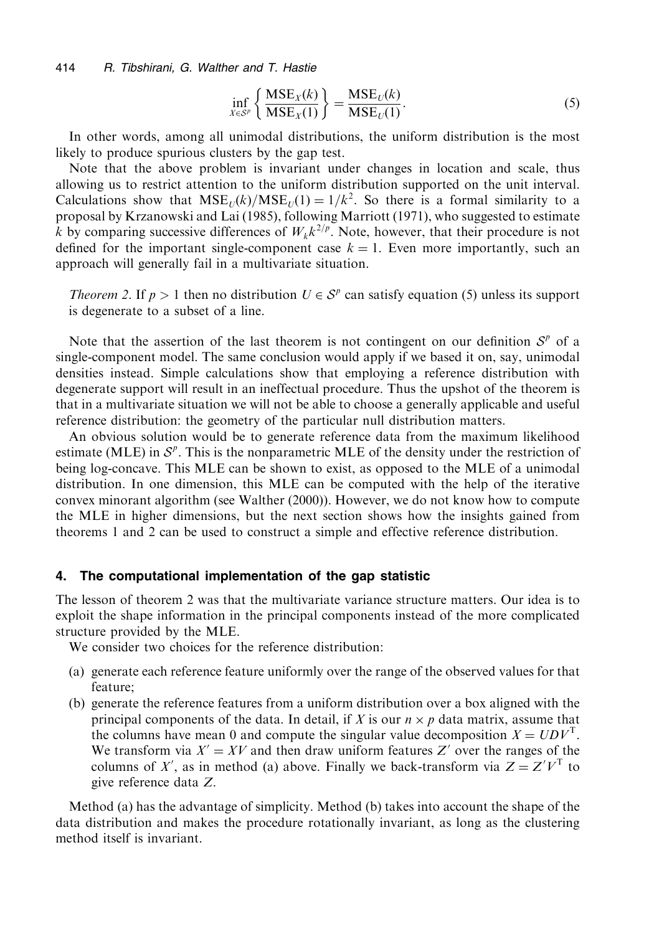R. Tibshirani, G. Walther and T. Hastie 414

$$
\inf_{X \in S^p} \left\{ \frac{\text{MSE}_X(k)}{\text{MSE}_X(1)} \right\} = \frac{\text{MSE}_U(k)}{\text{MSE}_U(1)}.
$$
\n(5)

In other words, among all unimodal distributions, the uniform distribution is the most likely to produce spurious clusters by the gap test.

Note that the above problem is invariant under changes in location and scale, thus allowing us to restrict attention to the uniform distribution supported on the unit interval. Calculations show that  $MSE_{U}(k)/MSE_{U}(1) = 1/k^{2}$ . So there is a formal similarity to a proposal by Krzanowski and Lai (1985), following Marriott (1971), who suggested to estimate k by comparing successive differences of  $W_k k^{2/p}$ . Note, however, that their procedure is not defined for the important single-component case  $k = 1$ . Even more importantly, such an approach will generally fail in a multivariate situation.

*Theorem 2.* If  $p > 1$  then no distribution  $U \in S^p$  can satisfy equation (5) unless its support is degenerate to a subset of a line.

Note that the assertion of the last theorem is not contingent on our definition  $S<sup>p</sup>$  of a single-component model. The same conclusion would apply if we based it on, say, unimodal densities instead. Simple calculations show that employing a reference distribution with degenerate support will result in an ineffectual procedure. Thus the upshot of the theorem is that in a multivariate situation we will not be able to choose a generally applicable and useful reference distribution: the geometry of the particular null distribution matters.

An obvious solution would be to generate reference data from the maximum likelihood estimate (MLE) in  $\mathcal{S}^p$ . This is the nonparametric MLE of the density under the restriction of being log-concave. This MLE can be shown to exist, as opposed to the MLE of a unimodal distribution. In one dimension, this MLE can be computed with the help of the iterative convex minorant algorithm (see Walther (2000)). However, we do not know how to compute the MLE in higher dimensions, but the next section shows how the insights gained from theorems 1 and 2 can be used to construct a simple and effective reference distribution.

#### 4. The computational implementation of the gap statistic

The lesson of theorem 2 was that the multivariate variance structure matters. Our idea is to exploit the shape information in the principal components instead of the more complicated structure provided by the MLE.

We consider two choices for the reference distribution:

- (a) generate each reference feature uniformly over the range of the observed values for that feature:
- (b) generate the reference features from a uniform distribution over a box aligned with the principal components of the data. In detail, if X is our  $n \times p$  data matrix, assume that the columns have mean 0 and compute the singular value decomposition  $X = UDV^1$ . We transform via  $X' = XY$  and then draw uniform features Z' over the ranges of the columns of X', as in method (a) above. Finally we back-transform via  $Z = Z'V^{\mathsf{T}}$  to give reference data Z.

Method (a) has the advantage of simplicity. Method (b) takes into account the shape of the data distribution and makes the procedure rotationally invariant, as long as the clustering method itself is invariant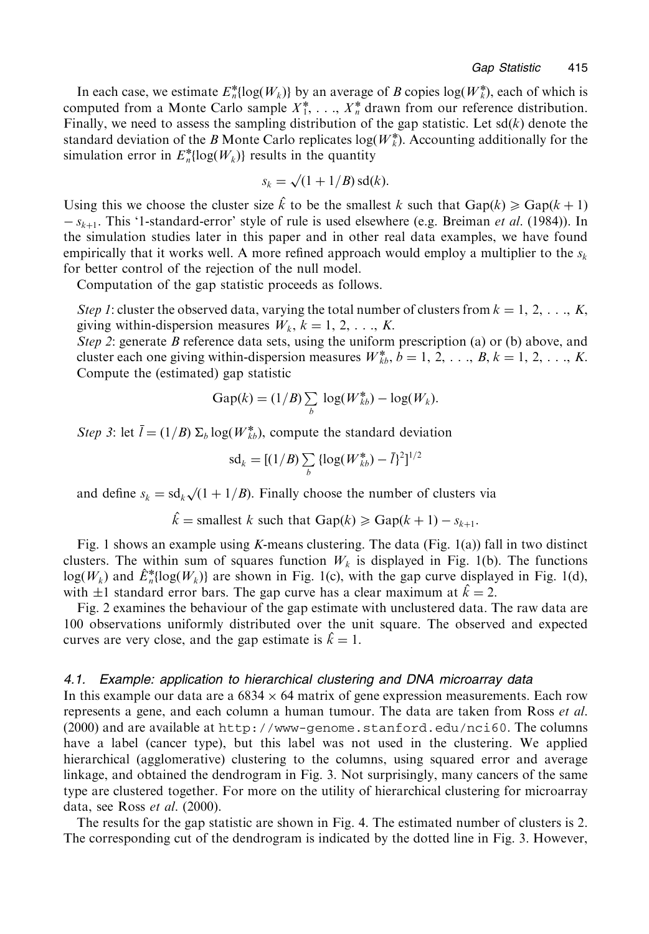In each case, we estimate  $E_n^*$ [log( $W_k$ )] by an average of B copies log( $W_k^*$ ), each of which is computed from a Monte Carlo sample  $X_1^*$ , ...,  $X_n^*$  drawn from our reference distribution. Finally, we need to assess the sampling distribution of the gap statistic. Let  $sd(k)$  denote the standard deviation of the B Monte Carlo replicates  $log(W_k^*)$ . Accounting additionally for the simulation error in  $E_n^*$ {log( $W_k$ }} results in the quantity

$$
s_k = \sqrt{(1+1/B)} \operatorname{sd}(k).
$$

Using this we choose the cluster size  $\hat{k}$  to be the smallest k such that  $\text{Gap}(k) \ge \text{Gap}(k+1)$  $-s_{k+1}$ . This '1-standard-error' style of rule is used elsewhere (e.g. Breiman *et al.* (1984)). In the simulation studies later in this paper and in other real data examples, we have found empirically that it works well. A more refined approach would employ a multiplier to the  $s_k$ for better control of the rejection of the null model.

Computation of the gap statistic proceeds as follows.

Step 1: cluster the observed data, varying the total number of clusters from  $k = 1, 2, \ldots, K$ , giving within-dispersion measures  $W_k$ ,  $k = 1, 2, \ldots, K$ .

Step 2: generate B reference data sets, using the uniform prescription (a) or (b) above, and cluster each one giving within-dispersion measures  $W_{k}^*, b = 1, 2, \ldots, B, k = 1, 2, \ldots, K$ . Compute the (estimated) gap statistic

$$
\text{Gap}(k) = (1/B) \sum_{b} \log(W_{kb}^*) - \log(W_k).
$$

Step 3: let  $\bar{l} = (1/B) \sum_b \log(W_{\bar{k}b}^*)$ , compute the standard deviation

$$
\mathrm{sd}_k = [(1/B) \sum_b \{ \log(W_{kb}^*) - \bar{l} \}^2]^{1/2}
$$

and define  $s_k = sd_k \sqrt{(1 + 1/B)}$ . Finally choose the number of clusters via

$$
\hat{k}
$$
 = smallest k such that  $\text{Gap}(k) \geq \text{Gap}(k+1) - s_{k+1}$ .

Fig. 1 shows an example using K-means clustering. The data (Fig.  $1(a)$ ) fall in two distinct clusters. The within sum of squares function  $W_k$  is displayed in Fig. 1(b). The functions  $log(W_k)$  and  $\hat{E}_{n}^{*}$ [log( $W_k$ )] are shown in Fig. 1(c), with the gap curve displayed in Fig. 1(d), with  $\pm 1$  standard error bars. The gap curve has a clear maximum at  $\hat{k} = 2$ .

Fig. 2 examines the behaviour of the gap estimate with unclustered data. The raw data are 100 observations uniformly distributed over the unit square. The observed and expected curves are very close, and the gap estimate is  $\hat{k} = 1$ .

### 4.1. Example: application to hierarchical clustering and DNA microarray data

In this example our data are a  $6834 \times 64$  matrix of gene expression measurements. Each row represents a gene, and each column a human tumour. The data are taken from Ross et al. (2000) and are available at http://www-genome.stanford.edu/nci60. The columns have a label (cancer type), but this label was not used in the clustering. We applied hierarchical (agglomerative) clustering to the columns, using squared error and average linkage, and obtained the dendrogram in Fig. 3. Not surprisingly, many cancers of the same type are clustered together. For more on the utility of hierarchical clustering for microarray data, see Ross et al.  $(2000)$ .

The results for the gap statistic are shown in Fig. 4. The estimated number of clusters is 2. The corresponding cut of the dendrogram is indicated by the dotted line in Fig. 3. However,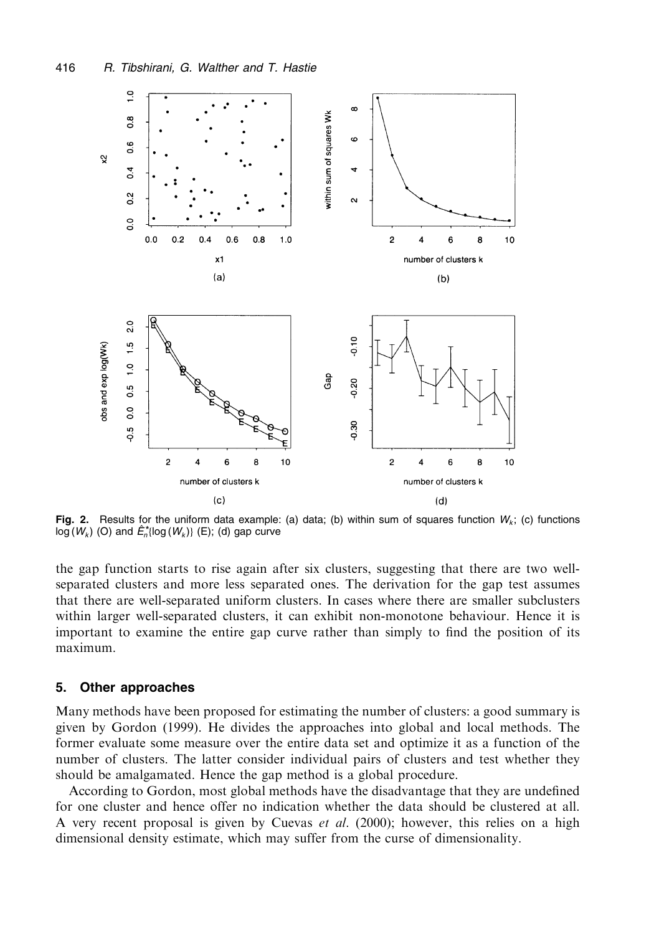

Fig. 2. Results for the uniform data example: (a) data; (b) within sum of squares function  $W_k$ ; (c) functions  $log(W_k)$  (O) and  $\hat{E}_n^*$ {log (W<sub>k</sub>)} (E); (d) gap curve

the gap function starts to rise again after six clusters, suggesting that there are two wellseparated clusters and more less separated ones. The derivation for the gap test assumes that there are well-separated uniform clusters. In cases where there are smaller subclusters within larger well-separated clusters, it can exhibit non-monotone behaviour. Hence it is important to examine the entire gap curve rather than simply to find the position of its maximum.

#### **Other approaches** 5.

Many methods have been proposed for estimating the number of clusters: a good summary is given by Gordon (1999). He divides the approaches into global and local methods. The former evaluate some measure over the entire data set and optimize it as a function of the number of clusters. The latter consider individual pairs of clusters and test whether they should be amalgamated. Hence the gap method is a global procedure.

According to Gordon, most global methods have the disadvantage that they are undefined for one cluster and hence offer no indication whether the data should be clustered at all. A very recent proposal is given by Cuevas et al. (2000); however, this relies on a high dimensional density estimate, which may suffer from the curse of dimensionality.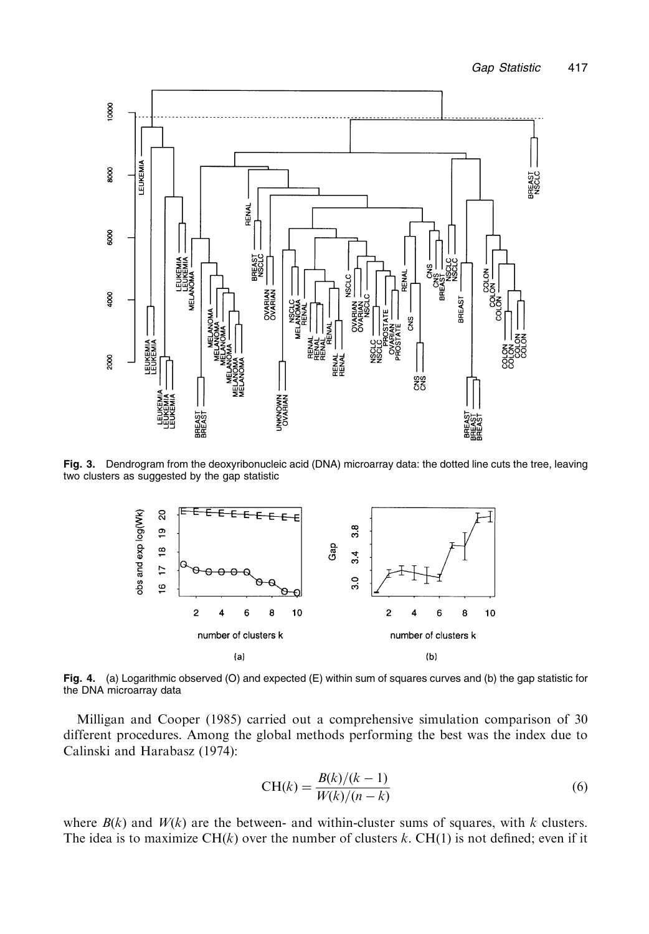

Fig. 3. Dendrogram from the deoxyribonucleic acid (DNA) microarray data: the dotted line cuts the tree, leaving two clusters as suggested by the gap statistic



Fig. 4. (a) Logarithmic observed (O) and expected (E) within sum of squares curves and (b) the gap statistic for the DNA microarray data

Milligan and Cooper (1985) carried out a comprehensive simulation comparison of 30 different procedures. Among the global methods performing the best was the index due to Calinski and Harabasz (1974):

$$
CH(k) = \frac{B(k)/(k-1)}{W(k)/(n-k)}
$$
(6)

where  $B(k)$  and  $W(k)$  are the between- and within-cluster sums of squares, with k clusters. The idea is to maximize CH $(k)$  over the number of clusters k. CH $(1)$  is not defined; even if it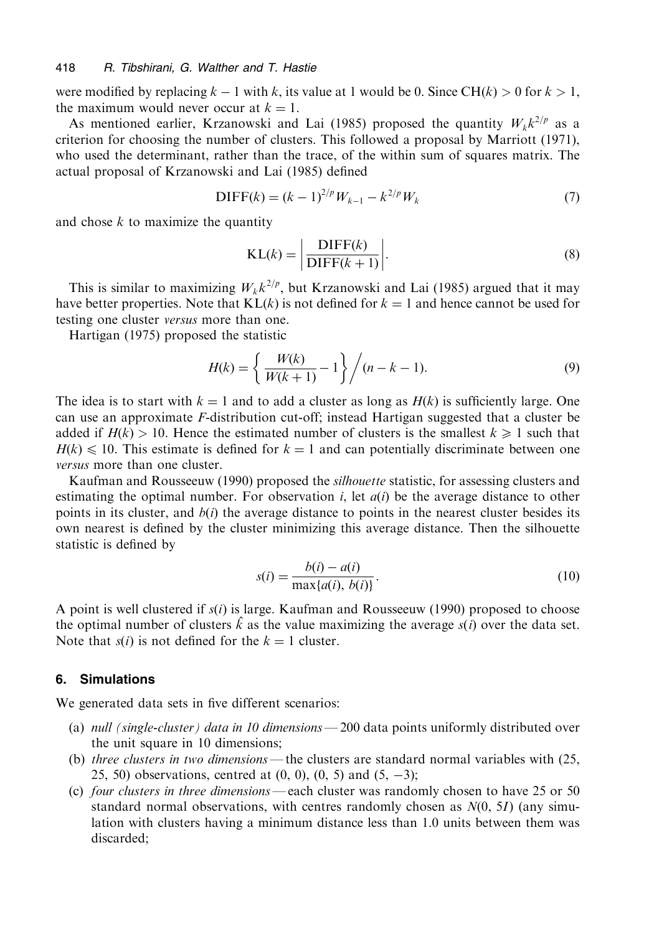were modified by replacing  $k-1$  with k, its value at 1 would be 0. Since CH(k) > 0 for  $k > 1$ , the maximum would never occur at  $k = 1$ .

As mentioned earlier, Krzanowski and Lai (1985) proposed the quantity  $W_k k^{2/p}$  as a criterion for choosing the number of clusters. This followed a proposal by Marriott (1971), who used the determinant, rather than the trace, of the within sum of squares matrix. The actual proposal of Krzanowski and Lai (1985) defined

$$
\text{DIFF}(k) = (k-1)^{2/p} W_{k-1} - k^{2/p} W_k \tag{7}
$$

and chose  $k$  to maximize the quantity

$$
KL(k) = \left| \frac{DIFF(k)}{DIFF(k+1)} \right|.
$$
\n(8)

This is similar to maximizing  $W_k k^{2/p}$ , but Krzanowski and Lai (1985) argued that it may have better properties. Note that  $KL(k)$  is not defined for  $k = 1$  and hence cannot be used for testing one cluster *versus* more than one.

Hartigan (1975) proposed the statistic

$$
H(k) = \left\{ \frac{W(k)}{W(k+1)} - 1 \right\} / (n - k - 1).
$$
 (9)

The idea is to start with  $k = 1$  and to add a cluster as long as  $H(k)$  is sufficiently large. One can use an approximate F-distribution cut-off; instead Hartigan suggested that a cluster be added if  $H(k) > 10$ . Hence the estimated number of clusters is the smallest  $k \ge 1$  such that  $H(k) \le 10$ . This estimate is defined for  $k = 1$  and can potentially discriminate between one versus more than one cluster.

Kaufman and Rousseeuw (1990) proposed the *silhouette* statistic, for assessing clusters and estimating the optimal number. For observation i, let  $a(i)$  be the average distance to other points in its cluster, and  $b(i)$  the average distance to points in the nearest cluster besides its own nearest is defined by the cluster minimizing this average distance. Then the silhouette statistic is defined by

$$
s(i) = \frac{b(i) - a(i)}{\max\{a(i), b(i)\}}.
$$
\n(10)

A point is well clustered if  $s(i)$  is large. Kaufman and Rousseeuw (1990) proposed to choose the optimal number of clusters  $\hat{k}$  as the value maximizing the average  $s(i)$  over the data set. Note that  $s(i)$  is not defined for the  $k = 1$  cluster.

## 6. Simulations

We generated data sets in five different scenarios:

- (a) null (single-cluster) data in 10 dimensions 200 data points uniformly distributed over the unit square in 10 dimensions;
- (b) three clusters in two dimensions—the clusters are standard normal variables with (25, 25, 50) observations, centred at  $(0, 0)$ ,  $(0, 5)$  and  $(5, -3)$ ;
- (c) four clusters in three dimensions—each cluster was randomly chosen to have 25 or 50 standard normal observations, with centres randomly chosen as  $N(0, 5I)$  (any simulation with clusters having a minimum distance less than 1.0 units between them was discarded: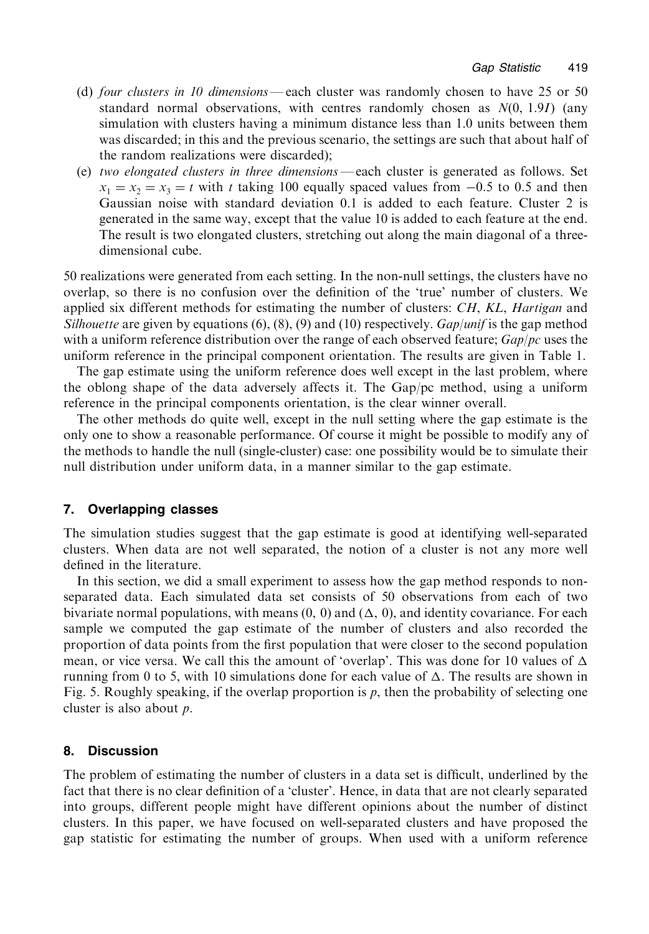- (d) four clusters in 10 dimensions—each cluster was randomly chosen to have 25 or 50 standard normal observations, with centres randomly chosen as  $N(0, 1.9I)$  (any simulation with clusters having a minimum distance less than 1.0 units between them was discarded; in this and the previous scenario, the settings are such that about half of the random realizations were discarded):
- (e) two elongated clusters in three dimensions—each cluster is generated as follows. Set  $x_1 = x_2 = x_3 = t$  with t taking 100 equally spaced values from -0.5 to 0.5 and then Gaussian noise with standard deviation 0.1 is added to each feature. Cluster 2 is generated in the same way, except that the value 10 is added to each feature at the end. The result is two elongated clusters, stretching out along the main diagonal of a threedimensional cube.

50 realizations were generated from each setting. In the non-null settings, the clusters have no overlap, so there is no confusion over the definition of the 'true' number of clusters. We applied six different methods for estimating the number of clusters: CH, KL, Hartigan and Silhouette are given by equations (6), (8), (9) and (10) respectively.  $Gap|unif$  is the gap method with a uniform reference distribution over the range of each observed feature;  $Gap/pc$  uses the uniform reference in the principal component orientation. The results are given in Table 1.

The gap estimate using the uniform reference does well except in the last problem, where the oblong shape of the data adversely affects it. The Gap/pc method, using a uniform reference in the principal components orientation, is the clear winner overall.

The other methods do quite well, except in the null setting where the gap estimate is the only one to show a reasonable performance. Of course it might be possible to modify any of the methods to handle the null (single-cluster) case: one possibility would be to simulate their null distribution under uniform data, in a manner similar to the gap estimate.

# 7. Overlapping classes

The simulation studies suggest that the gap estimate is good at identifying well-separated clusters. When data are not well separated, the notion of a cluster is not any more well defined in the literature.

In this section, we did a small experiment to assess how the gap method responds to nonseparated data. Each simulated data set consists of 50 observations from each of two bivariate normal populations, with means  $(0, 0)$  and  $(\Delta, 0)$ , and identity covariance. For each sample we computed the gap estimate of the number of clusters and also recorded the proportion of data points from the first population that were closer to the second population mean, or vice versa. We call this the amount of 'overlap'. This was done for 10 values of  $\Delta$ running from 0 to 5, with 10 simulations done for each value of  $\Delta$ . The results are shown in Fig. 5. Roughly speaking, if the overlap proportion is  $p$ , then the probability of selecting one cluster is also about  $p$ .

#### 8. **Discussion**

The problem of estimating the number of clusters in a data set is difficult, underlined by the fact that there is no clear definition of a 'cluster'. Hence, in data that are not clearly separated into groups, different people might have different opinions about the number of distinct clusters. In this paper, we have focused on well-separated clusters and have proposed the gap statistic for estimating the number of groups. When used with a uniform reference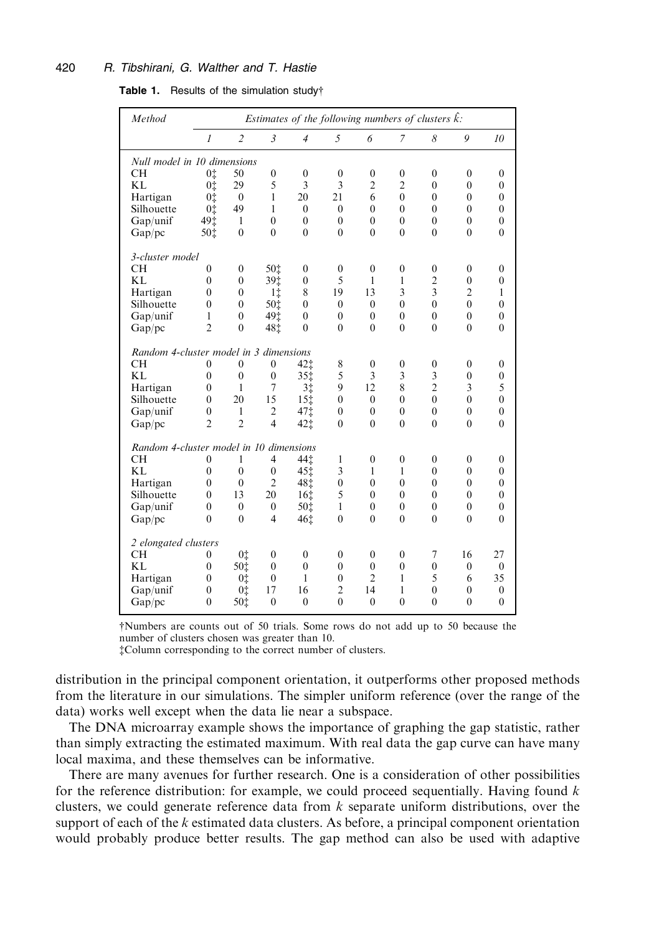#### 420 R. Tibshirani, G. Walther and T. Hastie

| Table 1. |  |  | Results of the simulation study† |  |
|----------|--|--|----------------------------------|--|
|----------|--|--|----------------------------------|--|

| Method                                  |                      | Estimates of the following numbers of clusters $\hat{k}$ : |                                |                  |                  |                       |                  |                     |                          |                     |  |
|-----------------------------------------|----------------------|------------------------------------------------------------|--------------------------------|------------------|------------------|-----------------------|------------------|---------------------|--------------------------|---------------------|--|
|                                         | $\overline{l}$       | $\overline{c}$                                             | $\mathfrak{Z}$                 | $\overline{4}$   | 5                | 6                     | $\overline{7}$   | 8                   | 9                        | 10                  |  |
| Null model in 10 dimensions             |                      |                                                            |                                |                  |                  |                       |                  |                     |                          |                     |  |
| <b>CH</b>                               | 0‡                   | 50                                                         | $\boldsymbol{0}$               | $\boldsymbol{0}$ | $\boldsymbol{0}$ | $\boldsymbol{0}$      | $\boldsymbol{0}$ | $\boldsymbol{0}$    | $\boldsymbol{0}$         | $\boldsymbol{0}$    |  |
| <b>KL</b>                               | 0‡                   | 29                                                         | 5                              | 3                | 3                | $\overline{2}$        | $\overline{2}$   | $\overline{0}$      | $\mathbf{0}$             | $\overline{0}$      |  |
| Hartigan                                | 0‡                   | $\mathbf{0}$                                               | $\mathbf{1}$                   | 20               | 21               | 6                     | $\overline{0}$   | $\overline{0}$      | $\mathbf{0}$             | $\overline{0}$      |  |
| Silhouette                              | 0‡                   | 49                                                         | 1                              | $\theta$         | $\theta$         | $\theta$              | $\theta$         | $\theta$            | $\theta$                 | $\theta$            |  |
| Gap/unif                                | 491                  | 1                                                          | $\mathbf{0}$                   | $\overline{0}$   | $\theta$         | $\theta$              | $\theta$         | $\theta$            | $\theta$                 | $\overline{0}$      |  |
| Gap/pc                                  | 50‡                  | $\theta$                                                   | $\theta$                       | $\theta$         | $\theta$         | $\theta$              | $\theta$         | $\theta$            | $\theta$                 | $\theta$            |  |
| 3-cluster model                         |                      |                                                            |                                |                  |                  |                       |                  |                     |                          |                     |  |
| <b>CH</b>                               | $\mathbf{0}$         | $\mathbf{0}$                                               | 50‡                            | $\boldsymbol{0}$ | $\boldsymbol{0}$ | $\boldsymbol{0}$      | $\boldsymbol{0}$ | $\boldsymbol{0}$    | $\mathbf{0}$             | $\overline{0}$      |  |
| <b>KL</b>                               | $\overline{0}$       | $\mathbf{0}$                                               | 39 <sup>t</sup>                | $\mathbf{0}$     | 5                | $\mathbf{1}$          | $\mathbf{1}$     | $\overline{c}$      | $\mathbf{0}$             | $\overline{0}$      |  |
| Hartigan                                | $\mathbf{0}$         | $\mathbf{0}$                                               | 1‡                             | 8                | 19               | 13                    | 3                | 3                   | $\overline{2}$           | $\mathbf{1}$        |  |
| Silhouette                              | $\mathbf{0}$         | $\mathbf{0}$                                               | 50i                            | $\mathbf{0}$     | $\theta$         | $\theta$              | $\mathbf{0}$     | $\theta$            | $\theta$                 | $\overline{0}$      |  |
| Gap/unif                                | $\mathbf{1}$         | $\mathbf{0}$                                               | 49 <sup>t</sup>                | $\boldsymbol{0}$ | $\mathbf{0}$     | $\mathbf{0}$          | $\overline{0}$   | $\mathbf{0}$        | $\mathbf{0}$             | $\boldsymbol{0}$    |  |
| Gap/pc                                  | $\overline{2}$       | $\overline{0}$                                             | 48 <sup>t</sup>                | $\overline{0}$   | $\theta$         | $\theta$              | $\theta$         | $\theta$            | $\theta$                 | $\theta$            |  |
| Random 4-cluster model in 3 dimensions  |                      |                                                            |                                |                  |                  |                       |                  |                     |                          |                     |  |
|                                         |                      | $\theta$                                                   |                                |                  |                  |                       |                  |                     |                          |                     |  |
| CН<br>KL                                | $\theta$<br>$\theta$ | $\theta$                                                   | $\mathbf{0}$                   | 42‡              | 8<br>5           | $\boldsymbol{0}$<br>3 | $\boldsymbol{0}$ | $\boldsymbol{0}$    | $\mathbf{0}$<br>$\theta$ | $\overline{0}$      |  |
|                                         | $\theta$             | $\mathbf{1}$                                               | $\mathbf{0}$<br>$\overline{7}$ | 35‡              | 9                | 12                    | 3<br>8           | 3<br>$\overline{2}$ | 3                        | $\overline{0}$<br>5 |  |
| Hartigan                                |                      |                                                            |                                | 3‡               | $\theta$         |                       | $\theta$         | $\theta$            | $\theta$                 | $\theta$            |  |
| Silhouette                              | $\theta$             | 20<br>$\mathbf{1}$                                         | 15                             | 15‡              |                  | $\theta$              | $\overline{0}$   | $\mathbf{0}$        | $\mathbf{0}$             | $\overline{0}$      |  |
| Gap/unif                                | $\mathbf{0}$         |                                                            | $\mathfrak{2}$                 | 47i              | $\mathbf{0}$     | $\mathbf{0}$          |                  |                     |                          |                     |  |
| Gap/pc                                  | $\overline{2}$       | $\overline{2}$                                             | $\overline{4}$                 | 42‡              | $\theta$         | $\theta$              | $\theta$         | $\theta$            | $\theta$                 | $\theta$            |  |
| Random 4-cluster model in 10 dimensions |                      |                                                            |                                |                  |                  |                       |                  |                     |                          |                     |  |
| <b>CH</b>                               | $\mathbf{0}$         | 1                                                          | $\overline{4}$                 | 44 <sup>t</sup>  | 1                | $\boldsymbol{0}$      | $\boldsymbol{0}$ | $\boldsymbol{0}$    | $\mathbf{0}$             | $\overline{0}$      |  |
| <b>KL</b>                               | $\overline{0}$       | $\mathbf{0}$                                               | $\mathbf{0}$                   | 451              | 3                | 1                     | $\mathbf{1}$     | $\overline{0}$      | $\mathbf{0}$             | $\overline{0}$      |  |
| Hartigan                                | $\overline{0}$       | $\mathbf{0}$                                               | $\overline{2}$                 | 48İ              | $\overline{0}$   | $\overline{0}$        | $\overline{0}$   | $\overline{0}$      | $\mathbf{0}$             | $\overline{0}$      |  |
| Silhouette                              | $\theta$             | 13                                                         | 20                             | 16 <sub>1</sub>  | 5                | $\theta$              | $\theta$         | $\theta$            | $\theta$                 | $\theta$            |  |
| Gap/unif                                | $\overline{0}$       | $\theta$                                                   | $\mathbf{0}$                   | 50 <sup>±</sup>  | $\mathbf{1}$     | $\theta$              | $\overline{0}$   | $\mathbf{0}$        | $\mathbf{0}$             | $\overline{0}$      |  |
| Gap/pc                                  | $\theta$             | $\theta$                                                   | $\overline{4}$                 | 461              | $\theta$         | $\theta$              | $\theta$         | $\theta$            | $\Omega$                 | $\theta$            |  |
| 2 elongated clusters                    |                      |                                                            |                                |                  |                  |                       |                  |                     |                          |                     |  |
| <b>CH</b>                               | 0                    | 0 <sup>†</sup>                                             | $\boldsymbol{0}$               | $\boldsymbol{0}$ | $\mathbf{0}$     | $\mathbf{0}$          | $\boldsymbol{0}$ | 7                   | 16                       | 27                  |  |
| <b>KL</b>                               | $\overline{0}$       | 50 <sup>t</sup>                                            | $\mathbf{0}$                   | $\overline{0}$   | $\theta$         | $\overline{0}$        | $\overline{0}$   | $\overline{0}$      | $\mathbf{0}$             | $\mathbf{0}$        |  |
| Hartigan                                | $\mathbf{0}$         | 0 <sup>†</sup>                                             | $\mathbf{0}$                   | 1                | $\theta$         | $\overline{2}$        | $\mathbf{1}$     | 5                   | 6                        | 35                  |  |
| Gap/unif                                | $\boldsymbol{0}$     | 0 <sup>†</sup>                                             | 17                             | 16               | $\overline{2}$   | 14                    | 1                | $\mathbf{0}$        | $\mathbf{0}$             | $\mathbf{0}$        |  |
| Gap/pc                                  | $\overline{0}$       | 50 <sup>t</sup>                                            | $\mathbf{0}$                   | $\theta$         | $\theta$         | $\theta$              | $\theta$         | $\theta$            | $\theta$                 | $\mathbf{0}$        |  |

†Numbers are counts out of 50 trials. Some rows do not add up to 50 because the number of clusters chosen was greater than 10.

‡Column corresponding to the correct number of clusters.

distribution in the principal component orientation, it outperforms other proposed methods from the literature in our simulations. The simpler uniform reference (over the range of the data) works well except when the data lie near a subspace.

The DNA microarray example shows the importance of graphing the gap statistic, rather than simply extracting the estimated maximum. With real data the gap curve can have many local maxima, and these themselves can be informative.

There are many avenues for further research. One is a consideration of other possibilities for the reference distribution: for example, we could proceed sequentially. Having found  $k$ clusters, we could generate reference data from  $k$  separate uniform distributions, over the support of each of the  $k$  estimated data clusters. As before, a principal component orientation would probably produce better results. The gap method can also be used with adaptive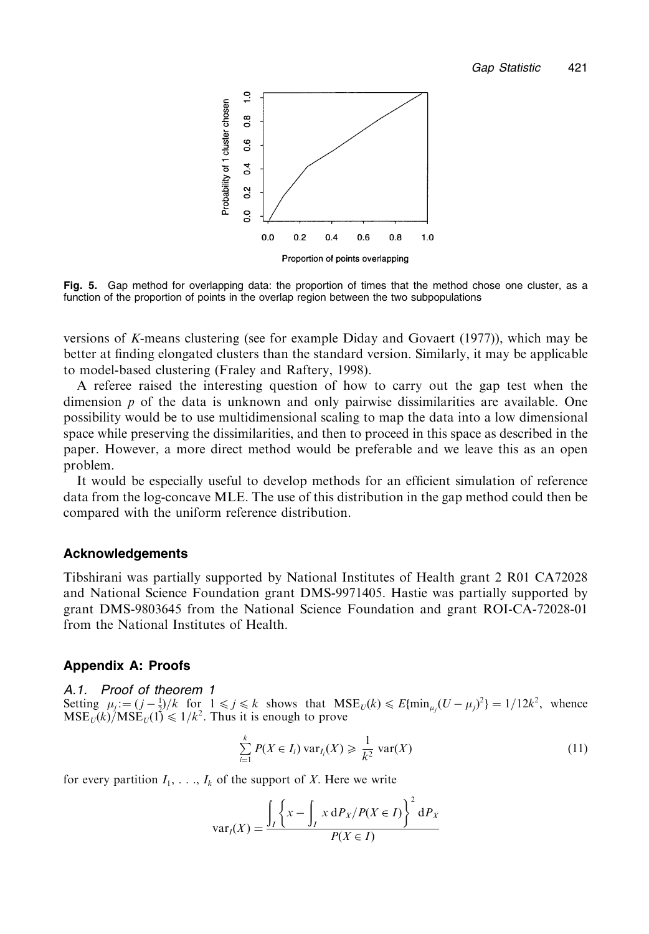

Fig. 5. Gap method for overlapping data; the proportion of times that the method chose one cluster, as a function of the proportion of points in the overlap region between the two subpopulations

versions of K-means clustering (see for example Diday and Govaert (1977)), which may be better at finding elongated clusters than the standard version. Similarly, it may be applicable to model-based clustering (Fraley and Raftery, 1998).

A referee raised the interesting question of how to carry out the gap test when the dimension  $p$  of the data is unknown and only pairwise dissimilarities are available. One possibility would be to use multidimensional scaling to map the data into a low dimensional space while preserving the dissimilarities, and then to proceed in this space as described in the paper. However, a more direct method would be preferable and we leave this as an open problem.

It would be especially useful to develop methods for an efficient simulation of reference data from the log-concave MLE. The use of this distribution in the gap method could then be compared with the uniform reference distribution.

### **Acknowledgements**

Tibshirani was partially supported by National Institutes of Health grant 2 R01 CA72028 and National Science Foundation grant DMS-9971405. Hastie was partially supported by grant DMS-9803645 from the National Science Foundation and grant ROI-CA-72028-01 from the National Institutes of Health.

# **Appendix A: Proofs**

### A.1. Proof of theorem 1

Setting  $\mu_j := (j - \frac{1}{2})/k$  for  $1 \le j \le k$  shows that  $MSE_U(k) \le E{\min_{u,i}(U - \mu_i)^2} = 1/12k^2$ , whence  $MSE_U(k)/MSE_U(1) \le 1/k^2$ . Thus it is enough to prove

$$
\sum_{i=1}^{k} P(X \in I_i) \operatorname{var}_{I_i}(X) \geq \frac{1}{k^2} \operatorname{var}(X)
$$
\n(11)

for every partition  $I_1, \ldots, I_k$  of the support of X. Here we write

$$
\text{var}_I(X) = \frac{\int_I \left\{ x - \int_I x \, \mathrm{d}P_X / P(X \in I) \right\}^2 \, \mathrm{d}P_X}{P(X \in I)}
$$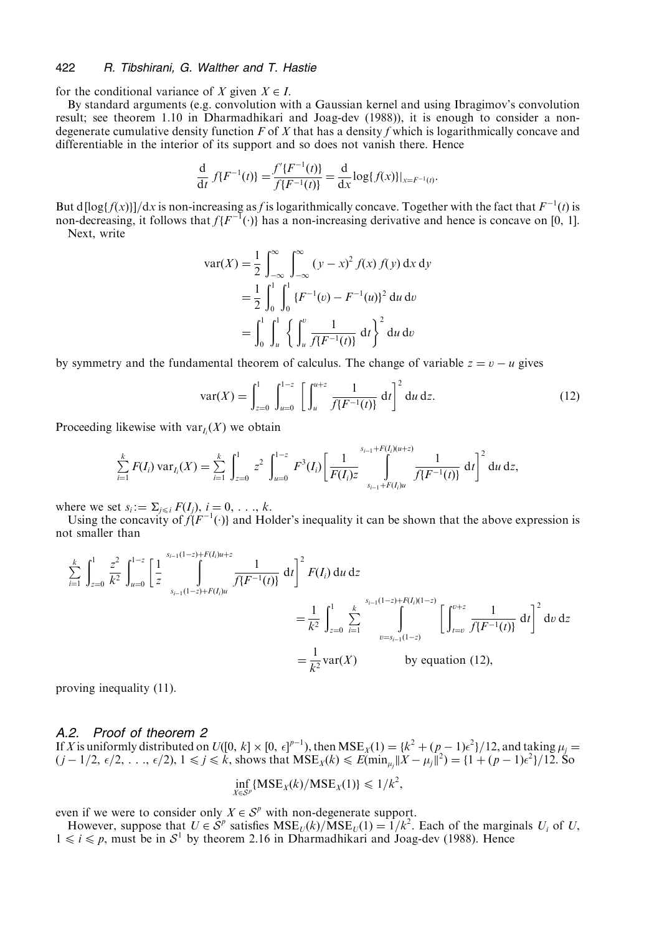#### 422 R. Tibshirani, G. Walther and T. Hastie

for the conditional variance of X given  $X \in I$ .

By standard arguments (e.g. convolution with a Gaussian kernel and using Ibragimov's convolution result: see theorem 1.10 in Dharmadhikari and Joag-dev (1988)), it is enough to consider a nondegenerate cumulative density function  $F$  of  $X$  that has a density f which is logarithmically concave and differentiable in the interior of its support and so does not vanish there. Hence

$$
\frac{d}{dt} f\{F^{-1}(t)\} = \frac{f'\{F^{-1}(t)\}}{f\{F^{-1}(t)\}} = \frac{d}{dx} log\{f(x)\}|_{x = F^{-1}(t)}
$$

But d[log{ $f(x)$ }]/dx is non-increasing as f is logarithmically concave. Together with the fact that  $F^{-1}(t)$  is non-decreasing, it follows that  $f(F^{-1}(\cdot))$  has a non-increasing derivative and hence is concave on [0, 1]. Next. write

$$
\begin{aligned} \text{var}(X) &= \frac{1}{2} \int_{-\infty}^{\infty} \int_{-\infty}^{\infty} (y - x)^2 f(x) \, f(y) \, \mathrm{d}x \, \mathrm{d}y \\ &= \frac{1}{2} \int_{0}^{1} \int_{0}^{1} \{ F^{-1}(v) - F^{-1}(u) \}^2 \, \mathrm{d}u \, \mathrm{d}v \\ &= \int_{0}^{1} \int_{u}^{1} \left\{ \int_{u}^{v} \frac{1}{f\{F^{-1}(t)\}} \, \mathrm{d}t \right\}^2 \, \mathrm{d}u \, \mathrm{d}v \end{aligned}
$$

by symmetry and the fundamental theorem of calculus. The change of variable  $z = v - u$  gives

$$
var(X) = \int_{z=0}^{1} \int_{u=0}^{1-z} \left[ \int_{u}^{u+z} \frac{1}{f\{F^{-1}(t)\}} dt \right]^2 du \, dz. \tag{12}
$$

Proceeding likewise with  $var_L(X)$  we obtain

$$
\sum_{i=1}^k F(I_i) \operatorname{var}_{I_i}(X) = \sum_{i=1}^k \int_{z=0}^1 z^2 \int_{u=0}^{1-z} F^3(I_i) \left[ \frac{1}{F(I_i)z} \int_{s_{i-1}+F(I_i)u}^{s_{i-1}+F(I_i)u+z} \frac{1}{f\{F^{-1}(t)\}} dt \right]^2 du \, dz,
$$

where we set  $s_i := \sum_{i \leq i} F(I_i)$ ,  $i = 0, \ldots, k$ .

Using the concavity of  $\hat{f}(F^{-1}(\cdot))$  and Holder's inequality it can be shown that the above expression is not smaller than

$$
\sum_{i=1}^{k} \int_{z=0}^{1} \frac{z^{2}}{k^{2}} \int_{u=0}^{1-z} \left[ \frac{1}{z} \int_{s_{i-1}(1-z)+F(l)u}^{s_{i-1}(1-z)+F(l)u+z} \frac{1}{f\{F^{-1}(t)\}} dt \right]^{2} F(I_{i}) du dz
$$
\n
$$
= \frac{1}{k^{2}} \int_{z=0}^{1} \sum_{i=1}^{k} \int_{v=s_{i-1}(1-z)}^{s_{i-1}(1-z)+F(l)(1-z)} \left[ \int_{t=v}^{0+z} \frac{1}{f\{F^{-1}(t)\}} dt \right]^{2} dv dz
$$
\n
$$
= \frac{1}{k^{2}} \text{var}(X) \qquad \text{by equation (12),}
$$

proving inequality (11).

### A.2. Proof of theorem 2

If X is uniformly distributed on  $U([0, k] \times [0, \epsilon]^{p-1})$ , then  $MSE_X(1) = \{k^2 + (p_0 - 1)\epsilon^2\}/12$ , and taking  $\mu_j =$  $(i-1/2, \epsilon/2, ..., \epsilon/2), 1 \le j \le k$ , shows that  $MSE_X(k) \le E(\min_{u} ||X - \mu_i||^2) = \{1 + (p-1)\epsilon^2\}/12$ . So

$$
\inf_{X \in S^p} \{ \text{MSE}_X(k) / \text{MSE}_X(1) \} \leq 1/k^2,
$$

even if we were to consider only  $X \in S^p$  with non-degenerate support.

However, suppose that  $U \in \mathcal{S}^p$  satisfies  $MSE_U(k)/MSE_U(1) = 1/k^2$ . Each of the marginals  $U_i$  of U,  $1 \le i \le p$ , must be in  $S^1$  by theorem 2.16 in Dharmadhikari and Joag-dev (1988). Hence